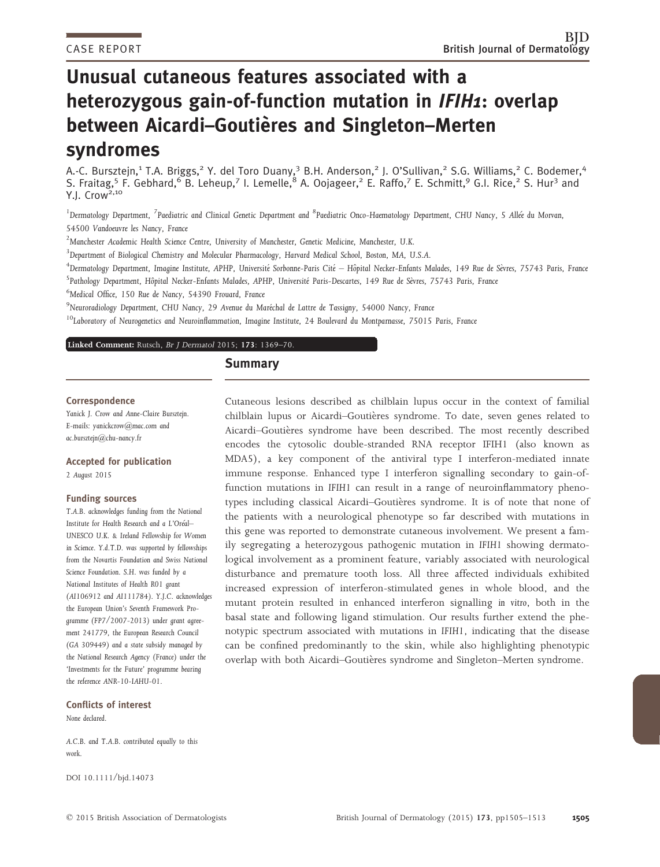# Unusual cutaneous features associated with a heterozygous gain-of-function mutation in IFIH1: overlap between Aicardi-Goutières and Singleton-Merten syndromes

A.-C. Bursztejn,<sup>1</sup> T.A. Briggs,<sup>2</sup> Y. del Toro Duany,<sup>3</sup> B.H. Anderson,<sup>2</sup> J. O'Sullivan,<sup>2</sup> S.G. Williams,<sup>2</sup> C. Bodemer,<sup>4</sup> S. Fraitag,<sup>5</sup> F. Gebhard,<sup>6</sup> B. Leheup,<sup>7</sup> I. Lemelle,<sup>8</sup> A. Oojageer,<sup>2</sup> E. Raffo,<sup>7</sup> E. Schmitt,<sup>9</sup> G.I. Rice,<sup>2</sup> S. Hur<sup>3</sup> and Y.J. Crow<sup>2,10</sup>

<sup>1</sup>Dermatology Department, <sup>7</sup>Paediatric and Clinical Genetic Department and <sup>8</sup>Paediatric Onco-Haematology Department, CHU Nancy, 5 Allée du Morvan, 54500 Vandoeuvre les Nancy, France

 $^2$ Manchester Academic Health Science Centre, University of Manchester, Genetic Medicine, Manchester, U.K.

3 Department of Biological Chemistry and Molecular Pharmacology, Harvard Medical School, Boston, MA, U.S.A.

 $^4$ Dermatology Department, Imagine Institute, APHP, Université Sorbonne-Paris Cité — Hôpital Necker-Enfants Malades, 149 Rue de Sèvres, 75743 Paris, France <sup>5</sup>Pathology Department, Hôpital Necker-Enfants Malades, APHP, Université Paris-Descartes, 149 Rue de Sèvres, 75743 Paris, France

6 Medical Office, 150 Rue de Nancy, 54390 Frouard, France

<sup>9</sup>Neuroradiology Department, CHU Nancy, 29 Avenue du Maréchal de Lattre de Tassigny, 54000 Nancy, France

 $10$ Laboratory of Neurogenetics and Neuroinflammation, Imagine Institute, 24 Boulevard du Montparnasse, 75015 Paris, France

Linked Comment: Rutsch, Br <sup>J</sup> Dermatol 2015; 173[: 1369–70..](http://dx.doi.org/10.1111/bjd.14210)

#### **Summary**

#### Correspondence

Yanick J. Crow and Anne-Claire Bursztejn. E-mails: yanickcrow@mac.com and ac.bursztejn@chu-nancy.fr

## Accepted for publication

2 August 2015

#### Funding sources

T.A.B. acknowledges funding from the National Institute for Health Research and a L'Oreal– UNESCO U.K. & Ireland Fellowship for Women in Science. Y.d.T.D. was supported by fellowships from the Novartis Foundation and Swiss National Science Foundation. S.H. was funded by a National Institutes of Health R01 grant (AI106912 and AI111784). Y.J.C. acknowledges the European Union's Seventh Framework Programme (FP7/2007-2013) under grant agreement 241779, the European Research Council (GA 309449) and a state subsidy managed by the National Research Agency (France) under the 'Investments for the Future' programme bearing the reference ANR-10-IAHU-01.

### Conflicts of interest

None declared.

A.C.B. and T.A.B. contributed equally to this work.

DOI 10.1111/bjd.14073

Cutaneous lesions described as chilblain lupus occur in the context of familial chilblain lupus or Aicardi-Goutières syndrome. To date, seven genes related to Aicardi–Goutières syndrome have been described. The most recently described encodes the cytosolic double-stranded RNA receptor IFIH1 (also known as MDA5), a key component of the antiviral type I interferon-mediated innate immune response. Enhanced type I interferon signalling secondary to gain-offunction mutations in IFIH1 can result in a range of neuroinflammatory phenotypes including classical Aicardi–Goutieres syndrome. It is of note that none of the patients with a neurological phenotype so far described with mutations in this gene was reported to demonstrate cutaneous involvement. We present a family segregating a heterozygous pathogenic mutation in IFIH1 showing dermatological involvement as a prominent feature, variably associated with neurological disturbance and premature tooth loss. All three affected individuals exhibited increased expression of interferon-stimulated genes in whole blood, and the mutant protein resulted in enhanced interferon signalling in vitro, both in the basal state and following ligand stimulation. Our results further extend the phenotypic spectrum associated with mutations in IFIH1, indicating that the disease can be confined predominantly to the skin, while also highlighting phenotypic overlap with both Aicardi-Goutières syndrome and Singleton-Merten syndrome.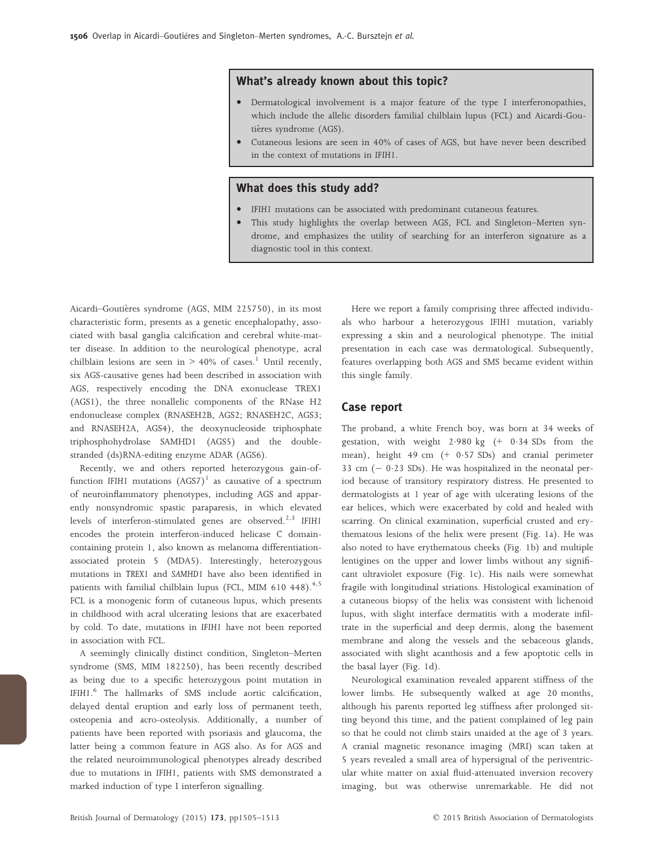#### What's already known about this topic?

- Dermatological involvement is a major feature of the type I interferonopathies, which include the allelic disorders familial chilblain lupus (FCL) and Aicardi-Goutières syndrome (AGS).
- Cutaneous lesions are seen in 40% of cases of AGS, but have never been described in the context of mutations in IFIH1.

#### What does this study add?

- IFIH1 mutations can be associated with predominant cutaneous features.
- This study highlights the overlap between AGS, FCL and Singleton–Merten syndrome, and emphasizes the utility of searching for an interferon signature as a diagnostic tool in this context.

Aicardi–Goutières syndrome (AGS, MIM 225750), in its most characteristic form, presents as a genetic encephalopathy, associated with basal ganglia calcification and cerebral white-matter disease. In addition to the neurological phenotype, acral chilblain lesions are seen in  $> 40\%$  of cases.<sup>1</sup> Until recently, six AGS-causative genes had been described in association with AGS, respectively encoding the DNA exonuclease TREX1 (AGS1), the three nonallelic components of the RNase H2 endonuclease complex (RNASEH2B, AGS2; RNASEH2C, AGS3; and RNASEH2A, AGS4), the deoxynucleoside triphosphate triphosphohydrolase SAMHD1 (AGS5) and the doublestranded (ds)RNA-editing enzyme ADAR (AGS6).

Recently, we and others reported heterozygous gain-offunction IFIH1 mutations  $(AGS7)^1$  as causative of a spectrum of neuroinflammatory phenotypes, including AGS and apparently nonsyndromic spastic paraparesis, in which elevated levels of interferon-stimulated genes are observed.<sup>2,3</sup> IFIH1 encodes the protein interferon-induced helicase C domaincontaining protein 1, also known as melanoma differentiationassociated protein 5 (MDA5). Interestingly, heterozygous mutations in TREX1 and SAMHD1 have also been identified in patients with familial chilblain lupus (FCL, MIM  $610$  448).<sup>4,5</sup> FCL is a monogenic form of cutaneous lupus, which presents in childhood with acral ulcerating lesions that are exacerbated by cold. To date, mutations in IFIH1 have not been reported in association with FCL.

A seemingly clinically distinct condition, Singleton–Merten syndrome (SMS, MIM 182250), has been recently described as being due to a specific heterozygous point mutation in IFIH1. <sup>6</sup> The hallmarks of SMS include aortic calcification, delayed dental eruption and early loss of permanent teeth, osteopenia and acro-osteolysis. Additionally, a number of patients have been reported with psoriasis and glaucoma, the latter being a common feature in AGS also. As for AGS and the related neuroimmunological phenotypes already described due to mutations in IFIH1, patients with SMS demonstrated a marked induction of type I interferon signalling.

Here we report a family comprising three affected individuals who harbour a heterozygous IFIH1 mutation, variably expressing a skin and a neurological phenotype. The initial presentation in each case was dermatological. Subsequently, features overlapping both AGS and SMS became evident within this single family.

#### Case report

The proband, a white French boy, was born at 34 weeks of gestation, with weight  $2.980 \text{ kg}$  (+ 0.34 SDs from the mean), height 49 cm (+ 0.57 SDs) and cranial perimeter 33 cm  $(-0.23$  SDs). He was hospitalized in the neonatal period because of transitory respiratory distress. He presented to dermatologists at 1 year of age with ulcerating lesions of the ear helices, which were exacerbated by cold and healed with scarring. On clinical examination, superficial crusted and erythematous lesions of the helix were present (Fig. 1a). He was also noted to have erythematous cheeks (Fig. 1b) and multiple lentigines on the upper and lower limbs without any significant ultraviolet exposure (Fig. 1c). His nails were somewhat fragile with longitudinal striations. Histological examination of a cutaneous biopsy of the helix was consistent with lichenoid lupus, with slight interface dermatitis with a moderate infiltrate in the superficial and deep dermis, along the basement membrane and along the vessels and the sebaceous glands, associated with slight acanthosis and a few apoptotic cells in the basal layer (Fig. 1d).

Neurological examination revealed apparent stiffness of the lower limbs. He subsequently walked at age 20 months, although his parents reported leg stiffness after prolonged sitting beyond this time, and the patient complained of leg pain so that he could not climb stairs unaided at the age of 3 years. A cranial magnetic resonance imaging (MRI) scan taken at 5 years revealed a small area of hypersignal of the periventricular white matter on axial fluid-attenuated inversion recovery imaging, but was otherwise unremarkable. He did not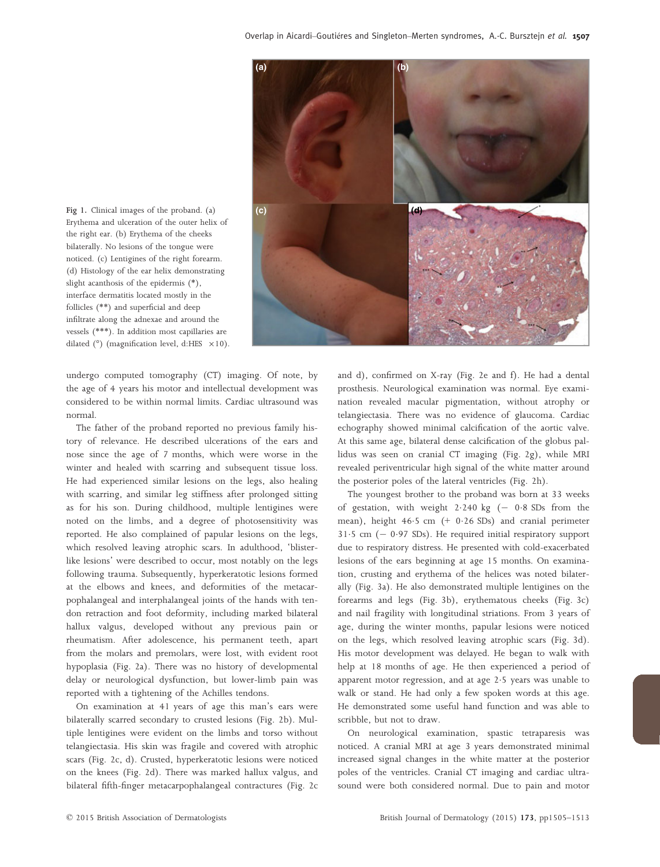

Erythema and ulceration of the outer helix of the right ear. (b) Erythema of the cheeks bilaterally. No lesions of the tongue were noticed. (c) Lentigines of the right forearm. (d) Histology of the ear helix demonstrating slight acanthosis of the epidermis (\*), interface dermatitis located mostly in the follicles (\*\*) and superficial and deep infiltrate along the adnexae and around the vessels (\*\*\*). In addition most capillaries are dilated ( $^{\circ}$ ) (magnification level, d:HES  $\times$ 10).

undergo computed tomography (CT) imaging. Of note, by the age of 4 years his motor and intellectual development was considered to be within normal limits. Cardiac ultrasound was normal.

The father of the proband reported no previous family history of relevance. He described ulcerations of the ears and nose since the age of 7 months, which were worse in the winter and healed with scarring and subsequent tissue loss. He had experienced similar lesions on the legs, also healing with scarring, and similar leg stiffness after prolonged sitting as for his son. During childhood, multiple lentigines were noted on the limbs, and a degree of photosensitivity was reported. He also complained of papular lesions on the legs, which resolved leaving atrophic scars. In adulthood, 'blisterlike lesions' were described to occur, most notably on the legs following trauma. Subsequently, hyperkeratotic lesions formed at the elbows and knees, and deformities of the metacarpophalangeal and interphalangeal joints of the hands with tendon retraction and foot deformity, including marked bilateral hallux valgus, developed without any previous pain or rheumatism. After adolescence, his permanent teeth, apart from the molars and premolars, were lost, with evident root hypoplasia (Fig. 2a). There was no history of developmental delay or neurological dysfunction, but lower-limb pain was reported with a tightening of the Achilles tendons.

On examination at 41 years of age this man's ears were bilaterally scarred secondary to crusted lesions (Fig. 2b). Multiple lentigines were evident on the limbs and torso without telangiectasia. His skin was fragile and covered with atrophic scars (Fig. 2c, d). Crusted, hyperkeratotic lesions were noticed on the knees (Fig. 2d). There was marked hallux valgus, and bilateral fifth-finger metacarpophalangeal contractures (Fig. 2c

and d), confirmed on X-ray (Fig. 2e and f). He had a dental prosthesis. Neurological examination was normal. Eye examination revealed macular pigmentation, without atrophy or telangiectasia. There was no evidence of glaucoma. Cardiac echography showed minimal calcification of the aortic valve. At this same age, bilateral dense calcification of the globus pallidus was seen on cranial CT imaging (Fig. 2g), while MRI revealed periventricular high signal of the white matter around the posterior poles of the lateral ventricles (Fig. 2h).

The youngest brother to the proband was born at 33 weeks of gestation, with weight  $2.240$  kg  $(-0.8$  SDs from the mean), height 46.5 cm (+ 0.26 SDs) and cranial perimeter  $31.5$  cm  $(-0.97$  SDs). He required initial respiratory support due to respiratory distress. He presented with cold-exacerbated lesions of the ears beginning at age 15 months. On examination, crusting and erythema of the helices was noted bilaterally (Fig. 3a). He also demonstrated multiple lentigines on the forearms and legs (Fig. 3b), erythematous cheeks (Fig. 3c) and nail fragility with longitudinal striations. From 3 years of age, during the winter months, papular lesions were noticed on the legs, which resolved leaving atrophic scars (Fig. 3d). His motor development was delayed. He began to walk with help at 18 months of age. He then experienced a period of apparent motor regression, and at age 2.5 years was unable to walk or stand. He had only a few spoken words at this age. He demonstrated some useful hand function and was able to scribble, but not to draw.

On neurological examination, spastic tetraparesis was noticed. A cranial MRI at age 3 years demonstrated minimal increased signal changes in the white matter at the posterior poles of the ventricles. Cranial CT imaging and cardiac ultrasound were both considered normal. Due to pain and motor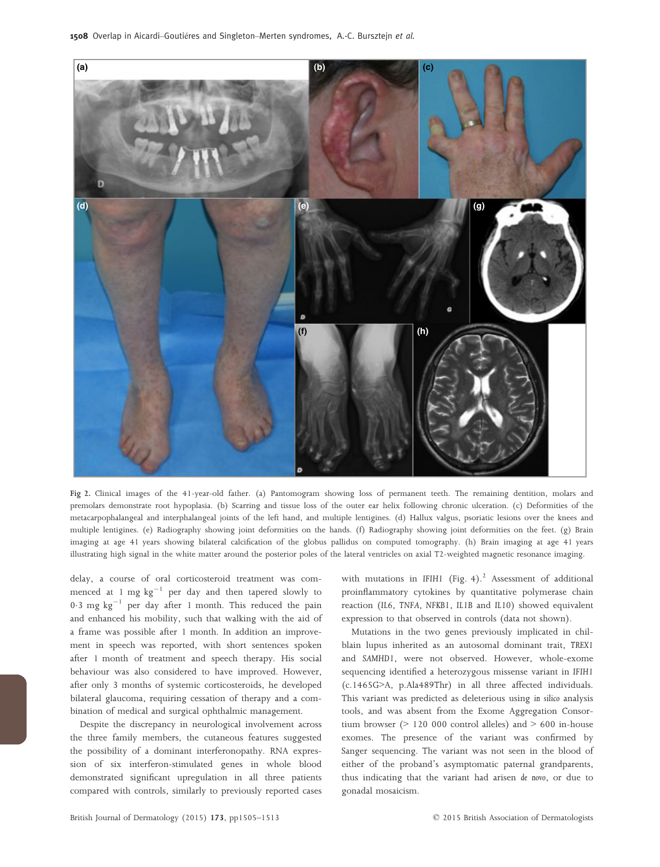

Fig 2. Clinical images of the 41-year-old father. (a) Pantomogram showing loss of permanent teeth. The remaining dentition, molars and premolars demonstrate root hypoplasia. (b) Scarring and tissue loss of the outer ear helix following chronic ulceration. (c) Deformities of the metacarpophalangeal and interphalangeal joints of the left hand, and multiple lentigines. (d) Hallux valgus, psoriatic lesions over the knees and multiple lentigines. (e) Radiography showing joint deformities on the hands. (f) Radiography showing joint deformities on the feet. (g) Brain imaging at age 41 years showing bilateral calcification of the globus pallidus on computed tomography. (h) Brain imaging at age 41 years illustrating high signal in the white matter around the posterior poles of the lateral ventricles on axial T2-weighted magnetic resonance imaging.

delay, a course of oral corticosteroid treatment was commenced at 1 mg  $kg^{-1}$  per day and then tapered slowly to 0.3 mg  $kg^{-1}$  per day after 1 month. This reduced the pain and enhanced his mobility, such that walking with the aid of a frame was possible after 1 month. In addition an improvement in speech was reported, with short sentences spoken after 1 month of treatment and speech therapy. His social behaviour was also considered to have improved. However, after only 3 months of systemic corticosteroids, he developed bilateral glaucoma, requiring cessation of therapy and a combination of medical and surgical ophthalmic management.

Despite the discrepancy in neurological involvement across the three family members, the cutaneous features suggested the possibility of a dominant interferonopathy. RNA expression of six interferon-stimulated genes in whole blood demonstrated significant upregulation in all three patients compared with controls, similarly to previously reported cases with mutations in IFIH1 (Fig. 4). $^{2}$  Assessment of additional proinflammatory cytokines by quantitative polymerase chain reaction (IL6, TNFA, NFKB1, IL1B and IL10) showed equivalent expression to that observed in controls (data not shown).

Mutations in the two genes previously implicated in chilblain lupus inherited as an autosomal dominant trait, TREX1 and SAMHD1, were not observed. However, whole-exome sequencing identified a heterozygous missense variant in IFIH1 (c.1465G>A, p.Ala489Thr) in all three affected individuals. This variant was predicted as deleterious using in silico analysis tools, and was absent from the Exome Aggregation Consortium browser ( $> 120,000$  control alleles) and  $> 600$  in-house exomes. The presence of the variant was confirmed by Sanger sequencing. The variant was not seen in the blood of either of the proband's asymptomatic paternal grandparents, thus indicating that the variant had arisen de novo, or due to gonadal mosaicism.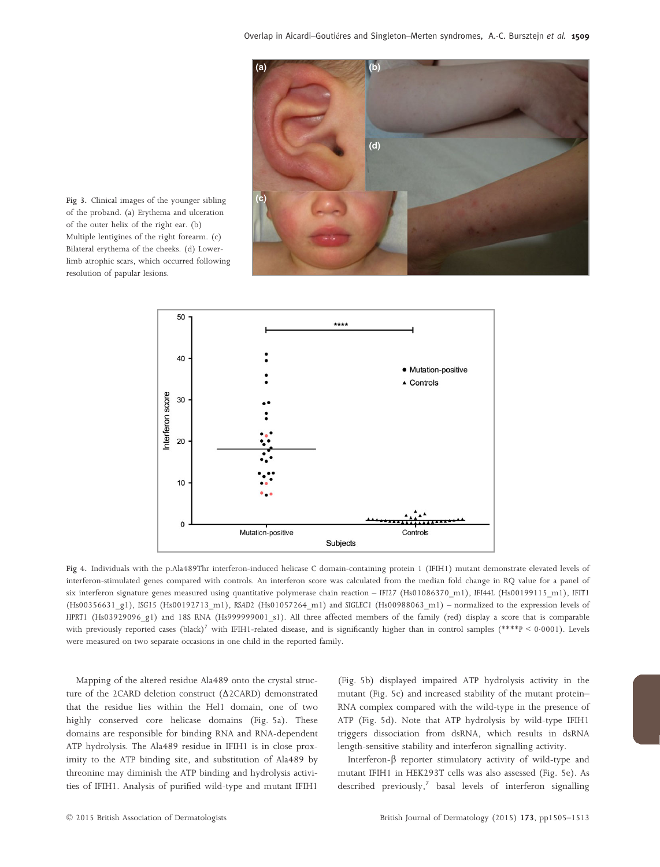

Fig 3. Clinical images of the younger sibling of the proband. (a) Erythema and ulceration of the outer helix of the right ear. (b) Multiple lentigines of the right forearm. (c) Bilateral erythema of the cheeks. (d) Lowerlimb atrophic scars, which occurred following resolution of papular lesions.



Fig 4. Individuals with the p.Ala489Thr interferon-induced helicase C domain-containing protein 1 (IFIH1) mutant demonstrate elevated levels of interferon-stimulated genes compared with controls. An interferon score was calculated from the median fold change in RQ value for a panel of six interferon signature genes measured using quantitative polymerase chain reaction – IFI27 (Hs01086370 m1), IFI44L (Hs00199115 m1), IFIT1 (Hs00356631\_g1), ISG15 (Hs00192713\_m1), RSAD2 (Hs01057264\_m1) and SIGLEC1 (Hs00988063\_m1) – normalized to the expression levels of HPRT1 (Hs03929096\_g1) and 18S RNA (Hs999999001\_s1). All three affected members of the family (red) display a score that is comparable with previously reported cases (black)<sup>7</sup> with IFIH1-related disease, and is significantly higher than in control samples (\*\*\*\*P < 0.0001). Levels were measured on two separate occasions in one child in the reported family.

Mapping of the altered residue Ala489 onto the crystal structure of the 2CARD deletion construct (Δ2CARD) demonstrated that the residue lies within the Hel1 domain, one of two highly conserved core helicase domains (Fig. 5a). These domains are responsible for binding RNA and RNA-dependent ATP hydrolysis. The Ala489 residue in IFIH1 is in close proximity to the ATP binding site, and substitution of Ala489 by threonine may diminish the ATP binding and hydrolysis activities of IFIH1. Analysis of purified wild-type and mutant IFIH1

(Fig. 5b) displayed impaired ATP hydrolysis activity in the mutant (Fig. 5c) and increased stability of the mutant protein– RNA complex compared with the wild-type in the presence of ATP (Fig. 5d). Note that ATP hydrolysis by wild-type IFIH1 triggers dissociation from dsRNA, which results in dsRNA length-sensitive stability and interferon signalling activity.

Interferon- $\beta$  reporter stimulatory activity of wild-type and mutant IFIH1 in HEK293T cells was also assessed (Fig. 5e). As described previously, $^7$  basal levels of interferon signalling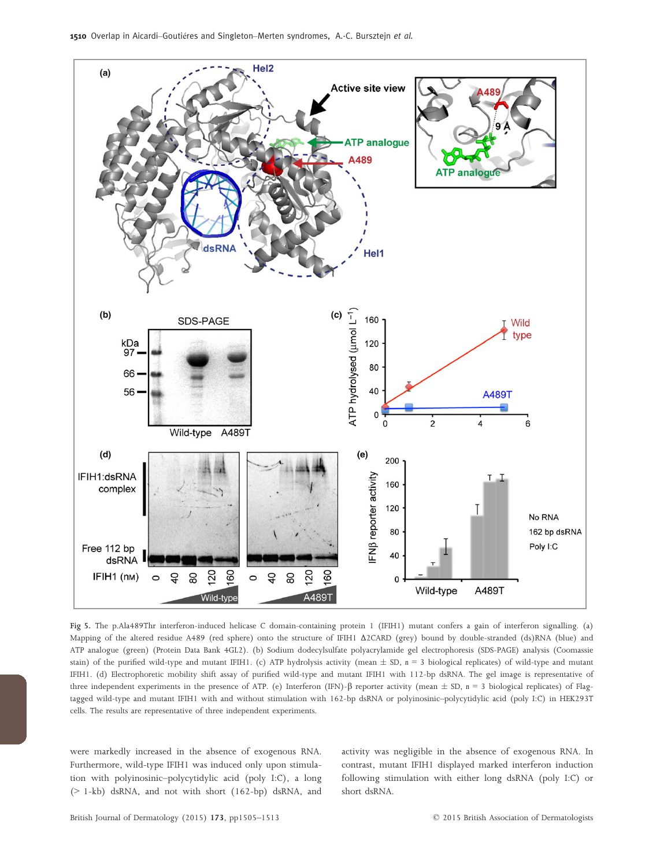

Fig 5. The p.Ala489Thr interferon-induced helicase C domain-containing protein 1 (IFIH1) mutant confers a gain of interferon signalling. (a) Mapping of the altered residue A489 (red sphere) onto the structure of IFIH1 Δ2CARD (grey) bound by double-stranded (ds)RNA (blue) and ATP analogue (green) (Protein Data Bank 4GL2). (b) Sodium dodecylsulfate polyacrylamide gel electrophoresis (SDS-PAGE) analysis (Coomassie stain) of the purified wild-type and mutant IFIH1. (c) ATP hydrolysis activity (mean  $\pm$  SD, n = 3 biological replicates) of wild-type and mutant IFIH1. (d) Electrophoretic mobility shift assay of purified wild-type and mutant IFIH1 with 112-bp dsRNA. The gel image is representative of three independent experiments in the presence of ATP. (e) Interferon (IFN)- $\beta$  reporter activity (mean  $\pm$  SD, n = 3 biological replicates) of Flagtagged wild-type and mutant IFIH1 with and without stimulation with 162-bp dsRNA or polyinosinic–polycytidylic acid (poly I:C) in HEK293T cells. The results are representative of three independent experiments.

were markedly increased in the absence of exogenous RNA. Furthermore, wild-type IFIH1 was induced only upon stimulation with polyinosinic–polycytidylic acid (poly I:C), a long (> 1-kb) dsRNA, and not with short (162-bp) dsRNA, and

activity was negligible in the absence of exogenous RNA. In contrast, mutant IFIH1 displayed marked interferon induction following stimulation with either long dsRNA (poly I:C) or short dsRNA.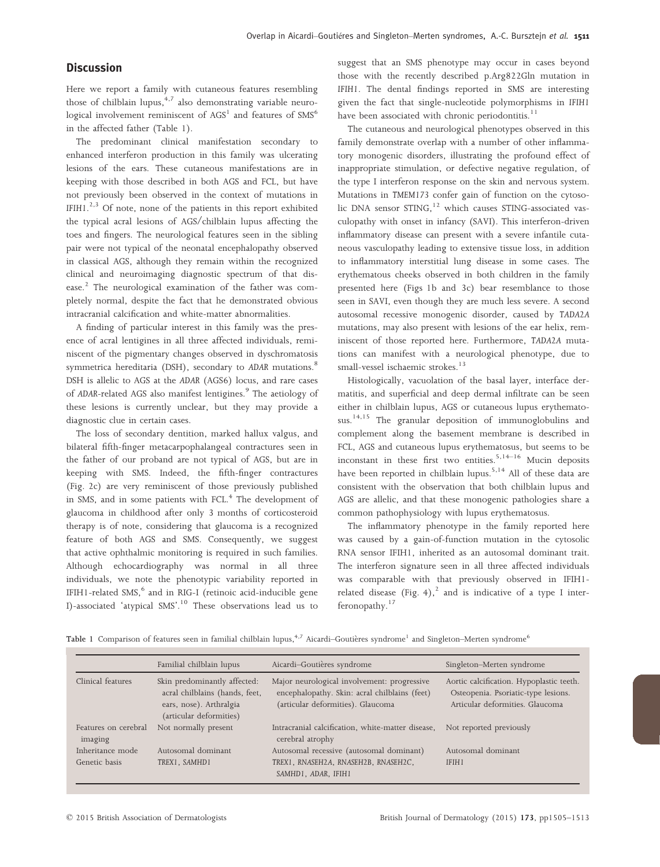#### **Discussion**

Here we report a family with cutaneous features resembling those of chilblain lupus, $4,7$  also demonstrating variable neurological involvement reminiscent of  $AdS<sup>1</sup>$  and features of  $SMS<sup>6</sup>$ in the affected father (Table 1).

The predominant clinical manifestation secondary to enhanced interferon production in this family was ulcerating lesions of the ears. These cutaneous manifestations are in keeping with those described in both AGS and FCL, but have not previously been observed in the context of mutations in IFIH1.<sup>2,3</sup> Of note, none of the patients in this report exhibited the typical acral lesions of AGS/chilblain lupus affecting the toes and fingers. The neurological features seen in the sibling pair were not typical of the neonatal encephalopathy observed in classical AGS, although they remain within the recognized clinical and neuroimaging diagnostic spectrum of that disease.<sup>2</sup> The neurological examination of the father was completely normal, despite the fact that he demonstrated obvious intracranial calcification and white-matter abnormalities.

A finding of particular interest in this family was the presence of acral lentigines in all three affected individuals, reminiscent of the pigmentary changes observed in dyschromatosis symmetrica hereditaria (DSH), secondary to ADAR mutations.<sup>8</sup> DSH is allelic to AGS at the ADAR (AGS6) locus, and rare cases of ADAR-related AGS also manifest lentigines.<sup>9</sup> The aetiology of these lesions is currently unclear, but they may provide a diagnostic clue in certain cases.

The loss of secondary dentition, marked hallux valgus, and bilateral fifth-finger metacarpophalangeal contractures seen in the father of our proband are not typical of AGS, but are in keeping with SMS. Indeed, the fifth-finger contractures (Fig. 2c) are very reminiscent of those previously published in SMS, and in some patients with FCL.<sup>4</sup> The development of glaucoma in childhood after only 3 months of corticosteroid therapy is of note, considering that glaucoma is a recognized feature of both AGS and SMS. Consequently, we suggest that active ophthalmic monitoring is required in such families. Although echocardiography was normal in all three individuals, we note the phenotypic variability reported in IFIH1-related  $SMS$ , and in RIG-I (retinoic acid-inducible gene I)-associated 'atypical SMS'.<sup>10</sup> These observations lead us to suggest that an SMS phenotype may occur in cases beyond those with the recently described p.Arg822Gln mutation in IFIH1. The dental findings reported in SMS are interesting given the fact that single-nucleotide polymorphisms in IFIH1 have been associated with chronic periodontitis.<sup>11</sup>

The cutaneous and neurological phenotypes observed in this family demonstrate overlap with a number of other inflammatory monogenic disorders, illustrating the profound effect of inappropriate stimulation, or defective negative regulation, of the type I interferon response on the skin and nervous system. Mutations in TMEM173 confer gain of function on the cytosolic DNA sensor STING,<sup>12</sup> which causes STING-associated vasculopathy with onset in infancy (SAVI). This interferon-driven inflammatory disease can present with a severe infantile cutaneous vasculopathy leading to extensive tissue loss, in addition to inflammatory interstitial lung disease in some cases. The erythematous cheeks observed in both children in the family presented here (Figs 1b and 3c) bear resemblance to those seen in SAVI, even though they are much less severe. A second autosomal recessive monogenic disorder, caused by TADA2A mutations, may also present with lesions of the ear helix, reminiscent of those reported here. Furthermore, TADA2A mutations can manifest with a neurological phenotype, due to small-vessel ischaemic strokes.<sup>13</sup>

Histologically, vacuolation of the basal layer, interface dermatitis, and superficial and deep dermal infiltrate can be seen either in chilblain lupus, AGS or cutaneous lupus erythematosus.<sup>14,15</sup> The granular deposition of immunoglobulins and complement along the basement membrane is described in FCL, AGS and cutaneous lupus erythematosus, but seems to be inconstant in these first two entities.  $5,14-16$  Mucin deposits have been reported in chilblain lupus.<sup>5,14</sup> All of these data are consistent with the observation that both chilblain lupus and AGS are allelic, and that these monogenic pathologies share a common pathophysiology with lupus erythematosus.

The inflammatory phenotype in the family reported here was caused by a gain-of-function mutation in the cytosolic RNA sensor IFIH1, inherited as an autosomal dominant trait. The interferon signature seen in all three affected individuals was comparable with that previously observed in IFIH1 related disease (Fig. 4),<sup>2</sup> and is indicative of a type I interferonopathy.<sup>17</sup>

|  |  |  |  |  | Table 1 Comparison of features seen in familial chilblain lupus, <sup>4,7</sup> Aicardi–Goutières syndrome <sup>1</sup> and Singleton–Merten syndrome <sup>6</sup> |  |
|--|--|--|--|--|--------------------------------------------------------------------------------------------------------------------------------------------------------------------|--|
|  |  |  |  |  |                                                                                                                                                                    |  |

|                                   | Familial chilblain lupus                                                                                             | Aicardi-Goutières syndrome                                                                                                        | Singleton-Merten syndrome                                                                                          |
|-----------------------------------|----------------------------------------------------------------------------------------------------------------------|-----------------------------------------------------------------------------------------------------------------------------------|--------------------------------------------------------------------------------------------------------------------|
| Clinical features                 | Skin predominantly affected:<br>acral chilblains (hands, feet,<br>ears, nose). Arthralgia<br>(articular deformities) | Major neurological involvement: progressive<br>encephalopathy. Skin: acral chilblains (feet)<br>(articular deformities). Glaucoma | Aortic calcification. Hypoplastic teeth.<br>Osteopenia. Psoriatic-type lesions.<br>Articular deformities. Glaucoma |
| Features on cerebral<br>imaging   | Not normally present                                                                                                 | Intracranial calcification, white-matter disease,<br>cerebral atrophy                                                             | Not reported previously                                                                                            |
| Inheritance mode<br>Genetic basis | Autosomal dominant<br>TREX1, SAMHD1                                                                                  | Autosomal recessive (autosomal dominant)<br>TREX1, RNASEH2A, RNASEH2B, RNASEH2C,<br>SAMHD1, ADAR, IFIH1                           | Autosomal dominant<br>IFIH1                                                                                        |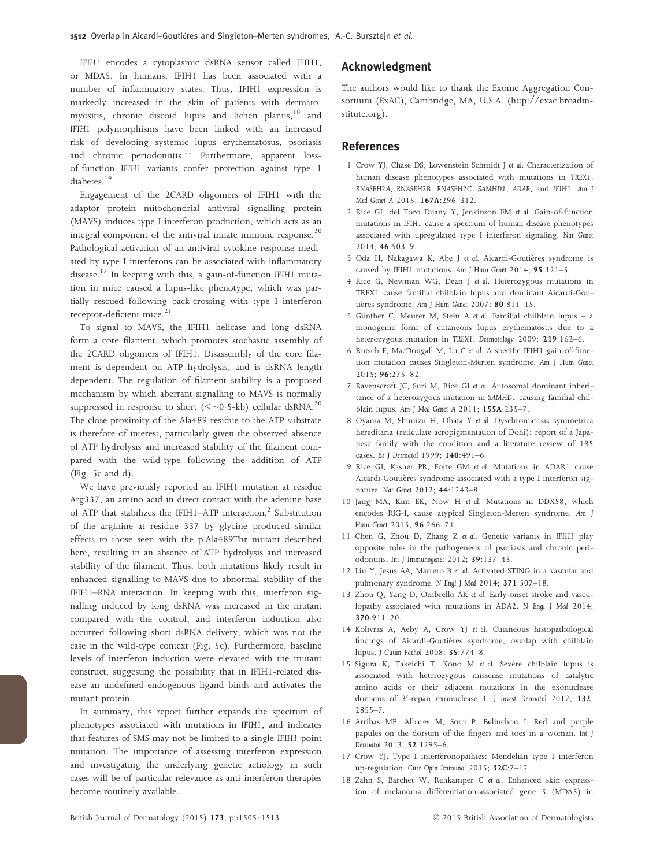IFIH1 encodes a cytoplasmic dsRNA sensor called IFIH1, or MDA5. In humans, IFIH1 has been associated with a number of inflammatory states. Thus, IFIH1 expression is markedly increased in the skin of patients with dermatomyositis, chronic discoid lupus and lichen planus,<sup>18</sup> and IFIH1 polymorphisms have been linked with an increased risk of developing systemic lupus erythematosus, psoriasis and chronic periodontitis.<sup>11</sup> Furthermore, apparent lossof-function IFIH1 variants confer protection against type 1 diabetes.<sup>19</sup>

Engagement of the 2CARD oligomers of IFIH1 with the adaptor protein mitochondrial antiviral signalling protein (MAVS) induces type I interferon production, which acts as an integral component of the antiviral innate immune response.<sup>20</sup> Pathological activation of an antiviral cytokine response mediated by type I interferons can be associated with inflammatory disease.<sup>17</sup> In keeping with this, a gain-of-function IFIH1 mutation in mice caused a lupus-like phenotype, which was partially rescued following back-crossing with type I interferon receptor-deficient mice.<sup>21</sup>

To signal to MAVS, the IFIH1 helicase and long dsRNA form a core filament, which promotes stochastic assembly of the 2CARD oligomers of IFIH1. Disassembly of the core filament is dependent on ATP hydrolysis, and is dsRNA length dependent. The regulation of filament stability is a proposed mechanism by which aberrant signalling to MAVS is normally suppressed in response to short ( $\leq$  ~0.5-kb) cellular dsRNA.<sup>20</sup> The close proximity of the Ala489 residue to the ATP substrate is therefore of interest, particularly given the observed absence of ATP hydrolysis and increased stability of the filament compared with the wild-type following the addition of ATP (Fig. 5c and d).

We have previously reported an IFIH1 mutation at residue Arg337, an amino acid in direct contact with the adenine base of ATP that stabilizes the IFIH1-ATP interaction.<sup>2</sup> Substitution of the arginine at residue 337 by glycine produced similar effects to those seen with the p.Ala489Thr mutant described here, resulting in an absence of ATP hydrolysis and increased stability of the filament. Thus, both mutations likely result in enhanced signalling to MAVS due to abnormal stability of the IFIH1–RNA interaction. In keeping with this, interferon signalling induced by long dsRNA was increased in the mutant compared with the control, and interferon induction also occurred following short dsRNA delivery, which was not the case in the wild-type context (Fig. 5e). Furthermore, baseline levels of interferon induction were elevated with the mutant construct, suggesting the possibility that in IFIH1-related disease an undefined endogenous ligand binds and activates the mutant protein.

In summary, this report further expands the spectrum of phenotypes associated with mutations in IFIH1, and indicates that features of SMS may not be limited to a single IFIH1 point mutation. The importance of assessing interferon expression and investigating the underlying genetic aetiology in such cases will be of particular relevance as anti-interferon therapies become routinely available.

#### Acknowledgment

The authors would like to thank the Exome Aggregation Consortium (ExAC), Cambridge, MA, U.S.A. [\(http://exac.broadin](http://exac.broadinstitute.org)[stitute.org](http://exac.broadinstitute.org)).

#### References

- 1 Crow YJ, Chase DS, Lowenstein Schmidt J et al. Characterization of human disease phenotypes associated with mutations in TREX1, RNASEH2A, RNASEH2B, RNASEH2C, SAMHD1, ADAR, and IFIH1. Am J Med Genet A 2015; 167A:296–312.
- 2 Rice GI, del Toro Duany Y, Jenkinson EM et al. Gain-of-function mutations in IFIH1 cause a spectrum of human disease phenotypes associated with upregulated type I interferon signaling. Nat Genet 2014; 46:503–9.
- 3 Oda H, Nakagawa K, Abe J et al. Aicardi-Goutières syndrome is caused by IFIH1 mutations. Am J Hum Genet 2014; 95:121–5.
- 4 Rice G, Newman WG, Dean J et al. Heterozygous mutations in TREX1 cause familial chilblain lupus and dominant Aicardi-Goutières syndrome. Am J Hum Genet 2007; 80:811-15.
- 5 Günther C, Meurer M, Stein A et al. Familial chilblain lupus a monogenic form of cutaneous lupus erythematosus due to a heterozygous mutation in TREX1. Dermatology 2009; 219:162–6.
- 6 Rutsch F, MacDougall M, Lu C et al. A specific IFIH1 gain-of-function mutation causes Singleton-Merten syndrome. Am J Hum Genet 2015; 96:275–82.
- 7 Ravenscroft JC, Suri M, Rice GI et al. Autosomal dominant inheritance of a heterozygous mutation in SAMHD1 causing familial chilblain lupus. Am J Med Genet A 2011; 155A:235–7.
- 8 Oyama M, Shimizu H, Ohata Y et al. Dyschromatosis symmetrica hereditaria (reticulate acropigmentation of Dohi): report of a Japanese family with the condition and a literature review of 185 cases. Br J Dermatol 1999; 140:491–6.
- 9 Rice GI, Kasher PR, Forte GM et al. Mutations in ADAR1 cause Aicardi-Goutières syndrome associated with a type I interferon signature. Nat Genet 2012; 44:1243–8.
- 10 Jang MA, Kim EK, Now H et al. Mutations in DDX58, which encodes RIG-I, cause atypical Singleton-Merten syndrome. Am J Hum Genet 2015; 96:266–74.
- 11 Chen G, Zhou D, Zhang Z et al. Genetic variants in IFIH1 play opposite roles in the pathogenesis of psoriasis and chronic periodontitis. Int J Immunogenet 2012; 39:137–43.
- 12 Liu Y, Jesus AA, Marrero B et al. Activated STING in a vascular and pulmonary syndrome. N Engl J Med 2014; 371:507–18.
- 13 Zhou Q, Yang D, Ombrello AK et al. Early-onset stroke and vasculopathy associated with mutations in ADA2. N Engl J Med 2014; 370:911–20.
- 14 Kolivras A, Aeby A, Crow YJ et al. Cutaneous histopathological findings of Aicardi-Goutières syndrome, overlap with chilblain lupus. J Cutan Pathol 2008; 35:774–8.
- 15 Sigura K, Takeichi T, Kono M et al. Severe chilblain lupus is associated with heterozygous missense mutations of catalytic amino acids or their adjacent mutations in the exonuclease domains of 3ʹ-repair exonuclease 1. J Invest Dermatol 2012; 132: 2855–7.
- 16 Arribas MP, Albares M, Soro P, Belinchon I. Red and purple papules on the dorsum of the fingers and toes in a woman. Int J Dermatol 2013; 52:1295–6.
- 17 Crow YJ. Type I interferonopathies: Mendelian type I interferon up-regulation. Curr Opin Immunol 2015; 32C:7-12.
- 18 Zahn S, Barchet W, Rehkamper C et al. Enhanced skin expression of melanoma differentiation-associated gene 5 (MDA5) in